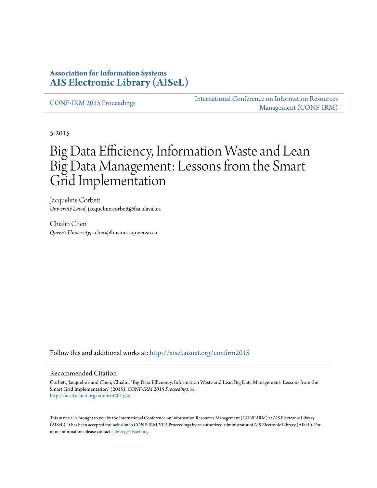#### **Association for Information Systems [AIS Electronic Library \(AISeL\)](http://aisel.aisnet.org?utm_source=aisel.aisnet.org%2Fconfirm2015%2F8&utm_medium=PDF&utm_campaign=PDFCoverPages)**

[CONF-IRM 2015 Proceedings](http://aisel.aisnet.org/confirm2015?utm_source=aisel.aisnet.org%2Fconfirm2015%2F8&utm_medium=PDF&utm_campaign=PDFCoverPages)

[International Conference on Information Resources](http://aisel.aisnet.org/conf-irm?utm_source=aisel.aisnet.org%2Fconfirm2015%2F8&utm_medium=PDF&utm_campaign=PDFCoverPages) [Management \(CONF-IRM\)](http://aisel.aisnet.org/conf-irm?utm_source=aisel.aisnet.org%2Fconfirm2015%2F8&utm_medium=PDF&utm_campaign=PDFCoverPages)

5-2015

# Big Data Efficiency, Information Waste and Lean Big Data Management: Lessons from the Smart Grid Implementation

Jacqueline Corbett *Université Laval*, jacqueline.corbett@fsa.ulaval.ca

Chialin Chen *Queen's University*, cchen@business.queensu.ca

Follow this and additional works at: [http://aisel.aisnet.org/confirm2015](http://aisel.aisnet.org/confirm2015?utm_source=aisel.aisnet.org%2Fconfirm2015%2F8&utm_medium=PDF&utm_campaign=PDFCoverPages)

#### Recommended Citation

Corbett, Jacqueline and Chen, Chialin, "Big Data Efficiency, Information Waste and Lean Big Data Management: Lessons from the Smart Grid Implementation" (2015). *CONF-IRM 2015 Proceedings*. 8. [http://aisel.aisnet.org/confirm2015/8](http://aisel.aisnet.org/confirm2015/8?utm_source=aisel.aisnet.org%2Fconfirm2015%2F8&utm_medium=PDF&utm_campaign=PDFCoverPages)

This material is brought to you by the International Conference on Information Resources Management (CONF-IRM) at AIS Electronic Library (AISeL). It has been accepted for inclusion in CONF-IRM 2015 Proceedings by an authorized administrator of AIS Electronic Library (AISeL). For more information, please contact [elibrary@aisnet.org.](mailto:elibrary@aisnet.org%3E)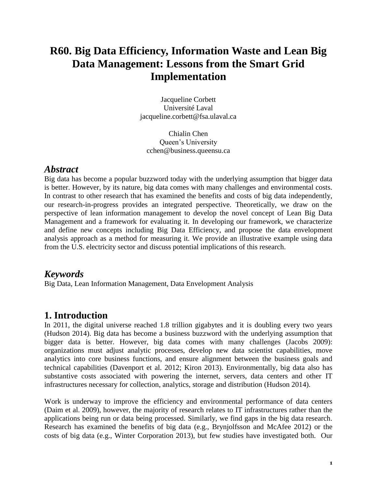## **R60. Big Data Efficiency, Information Waste and Lean Big Data Management: Lessons from the Smart Grid Implementation**

Jacqueline Corbett Université Laval jacqueline.corbett@fsa.ulaval.ca

Chialin Chen Queen's University cchen@business.queensu.ca

#### *Abstract*

Big data has become a popular buzzword today with the underlying assumption that bigger data is better. However, by its nature, big data comes with many challenges and environmental costs. In contrast to other research that has examined the benefits and costs of big data independently, our research-in-progress provides an integrated perspective. Theoretically, we draw on the perspective of lean information management to develop the novel concept of Lean Big Data Management and a framework for evaluating it. In developing our framework, we characterize and define new concepts including Big Data Efficiency, and propose the data envelopment analysis approach as a method for measuring it. We provide an illustrative example using data from the U.S. electricity sector and discuss potential implications of this research.

### *Keywords*

Big Data, Lean Information Management, Data Envelopment Analysis

### **1. Introduction**

In 2011, the digital universe reached 1.8 trillion gigabytes and it is doubling every two years [\(Hudson 2014\)](#page-7-0). Big data has become a business buzzword with the underlying assumption that bigger data is better. However, big data comes with many challenges [\(Jacobs 2009\)](#page-7-1): organizations must adjust analytic processes, develop new data scientist capabilities, move analytics into core business functions, and ensure alignment between the business goals and technical capabilities [\(Davenport et al. 2012;](#page-6-0) [Kiron 2013\)](#page-7-2). Environmentally, big data also has substantive costs associated with powering the internet, servers, data centers and other IT infrastructures necessary for collection, analytics, storage and distribution [\(Hudson 2014\)](#page-7-0).

Work is underway to improve the efficiency and environmental performance of data centers [\(Daim et al. 2009\)](#page-6-1), however, the majority of research relates to IT infrastructures rather than the applications being run or data being processed. Similarly, we find gaps in the big data research. Research has examined the benefits of big data [\(e.g., Brynjolfsson and McAfee 2012\)](#page-6-2) or the costs of big data [\(e.g., Winter Corporation 2013\)](#page-7-3), but few studies have investigated both. Our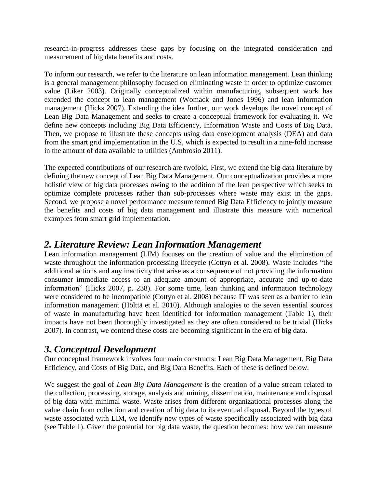research-in-progress addresses these gaps by focusing on the integrated consideration and measurement of big data benefits and costs.

To inform our research, we refer to the literature on lean information management. Lean thinking is a general management philosophy focused on eliminating waste in order to optimize customer value [\(Liker 2003\)](#page-7-4). Originally conceptualized within manufacturing, subsequent work has extended the concept to lean management [\(Womack and Jones 1996\)](#page-7-5) and lean information management [\(Hicks 2007\)](#page-7-6). Extending the idea further, our work develops the novel concept of Lean Big Data Management and seeks to create a conceptual framework for evaluating it. We define new concepts including Big Data Efficiency, Information Waste and Costs of Big Data. Then, we propose to illustrate these concepts using data envelopment analysis (DEA) and data from the smart grid implementation in the U.S, which is expected to result in a nine-fold increase in the amount of data available to utilities [\(Ambrosio 2011\)](#page-6-3).

The expected contributions of our research are twofold. First, we extend the big data literature by defining the new concept of Lean Big Data Management. Our conceptualization provides a more holistic view of big data processes owing to the addition of the lean perspective which seeks to optimize complete processes rather than sub-processes where waste may exist in the gaps. Second, we propose a novel performance measure termed Big Data Efficiency to jointly measure the benefits and costs of big data management and illustrate this measure with numerical examples from smart grid implementation.

### *2. Literature Review: Lean Information Management*

Lean information management (LIM) focuses on the creation of value and the elimination of waste throughout the information processing lifecycle [\(Cottyn et al. 2008\)](#page-6-4). Waste includes "the additional actions and any inactivity that arise as a consequence of not providing the information consumer immediate access to an adequate amount of appropriate, accurate and up-to-date information" [\(Hicks 2007, p. 238\)](#page-7-6). For some time, lean thinking and information technology were considered to be incompatible [\(Cottyn et al. 2008\)](#page-6-4) because IT was seen as a barrier to lean information management [\(Hölttä et al. 2010\)](#page-7-7). Although analogies to the seven essential sources of waste in manufacturing have been identified for information management (Table 1), their impacts have not been thoroughly investigated as they are often considered to be trivial [\(Hicks](#page-7-6)  [2007\)](#page-7-6). In contrast, we contend these costs are becoming significant in the era of big data.

### *3. Conceptual Development*

Our conceptual framework involves four main constructs: Lean Big Data Management, Big Data Efficiency, and Costs of Big Data, and Big Data Benefits. Each of these is defined below.

We suggest the goal of *Lean Big Data Management* is the creation of a value stream related to the collection, processing, storage, analysis and mining, dissemination, maintenance and disposal of big data with minimal waste. Waste arises from different organizational processes along the value chain from collection and creation of big data to its eventual disposal. Beyond the types of waste associated with LIM, we identify new types of waste specifically associated with big data (see Table 1). Given the potential for big data waste, the question becomes: how we can measure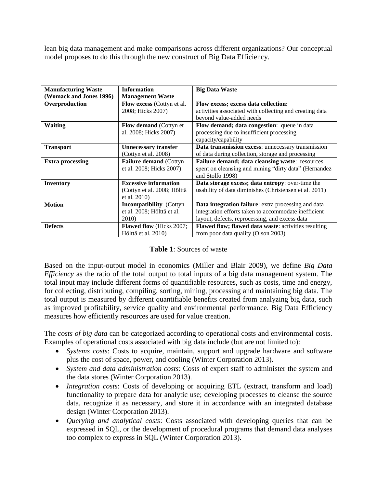lean big data management and make comparisons across different organizations? Our conceptual model proposes to do this through the new construct of Big Data Efficiency.

| <b>Manufacturing Waste</b> | <b>Information</b>                                                          | <b>Big Data Waste</b>                                                                                                                                         |  |  |
|----------------------------|-----------------------------------------------------------------------------|---------------------------------------------------------------------------------------------------------------------------------------------------------------|--|--|
| (Womack and Jones 1996)    | <b>Management Waste</b>                                                     |                                                                                                                                                               |  |  |
| Overproduction             | Flow excess (Cottyn et al.<br>2008; Hicks 2007)                             | Flow excess; excess data collection:<br>activities associated with collecting and creating data<br>beyond value-added needs                                   |  |  |
| <b>Waiting</b>             | Flow demand (Cottyn et<br>al. 2008; Hicks 2007)                             | Flow demand; data congestion: queue in data<br>processing due to insufficient processing<br>capacity/capability                                               |  |  |
| <b>Transport</b>           | <b>Unnecessary transfer</b><br>(Cottyn et al. 2008)                         | Data transmission excess: unnecessary transmission<br>of data during collection, storage and processing                                                       |  |  |
| <b>Extra processing</b>    | <b>Failure demand (Cottyn)</b><br>et al. 2008; Hicks 2007)                  | Failure demand; data cleansing waste: resources<br>spent on cleansing and mining "dirty data" (Hernandez<br>and Stolfo 1998)                                  |  |  |
| <b>Inventory</b>           | <b>Excessive information</b><br>(Cottyn et al. 2008; Hölttä<br>et al. 2010) | Data storage excess; data entropy: over-time the<br>usability of data diminishes (Christensen et al. 2011)                                                    |  |  |
| <b>Motion</b>              | <b>Incompatibility</b> (Cottyn<br>et al. 2008; Hölttä et al.<br>2010)       | Data integration failure: extra processing and data<br>integration efforts taken to accommodate inefficient<br>layout, defects, reprocessing, and excess data |  |  |
| <b>Defects</b>             | <b>Flawed flow</b> (Hicks 2007;<br>Hölttä et al. 2010)                      | Flawed flow; flawed data waste: activities resulting<br>from poor data quality (Olson 2003)                                                                   |  |  |

#### **Table 1**: Sources of waste

Based on the input-output model in economics [\(Miller and Blair 2009\)](#page-7-9), we define *Big Data Efficiency* as the ratio of the total output to total inputs of a big data management system. The total input may include different forms of quantifiable resources, such as costs, time and energy, for collecting, distributing, compiling, sorting, mining, processing and maintaining big data. The total output is measured by different quantifiable benefits created from analyzing big data, such as improved profitability, service quality and environmental performance. Big Data Efficiency measures how efficiently resources are used for value creation.

The *costs of big data* can be categorized according to operational costs and environmental costs. Examples of operational costs associated with big data include (but are not limited to):

- *Systems costs*: Costs to acquire, maintain, support and upgrade hardware and software plus the cost of space, power, and cooling (Winter [Corporation 2013\)](#page-7-3).
- *System and data administration costs*: Costs of expert staff to administer the system and the data stores [\(Winter Corporation 2013\)](#page-7-3).
- *Integration costs*: Costs of developing or acquiring ETL (extract, transform and load) functionality to prepare data for analytic use; developing processes to cleanse the source data, recognize it as necessary, and store it in accordance with an integrated database design [\(Winter Corporation 2013\)](#page-7-3).
- *Querying and analytical costs*: Costs associated with developing queries that can be expressed in SQL, or the development of procedural programs that demand data analyses too complex to express in SQL [\(Winter Corporation 2013\)](#page-7-3).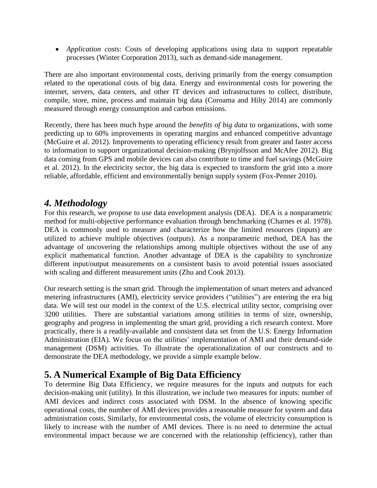*Application costs*: Costs of developing applications using data to support repeatable processes [\(Winter Corporation 2013\)](#page-7-3), such as demand-side management.

There are also important environmental costs, deriving primarily from the energy consumption related to the operational costs of big data. Energy and environmental costs for powering the internet, servers, data centers, and other IT devices and infrastructures to collect, distribute, compile, store, mine, process and maintain big data [\(Coroama and Hilty 2014\)](#page-6-7) are commonly measured through energy consumption and carbon emissions.

Recently, there has been much hype around the *benefits of big data* to organizations, with some predicting up to 60% improvements in operating margins and enhanced competitive advantage [\(McGuire et al. 2012\)](#page-7-10). Improvements to operating efficiency result from greater and faster access to information to support organizational decision-making [\(Brynjolfsson and McAfee 2012\)](#page-6-2). Big data coming from GPS and mobile devices can also contribute to time and fuel savings [\(McGuire](#page-7-10)  [et al. 2012\)](#page-7-10). In the electricity sector, the big data is expected to transform the grid into a more reliable, affordable, efficient and environmentally benign supply system [\(Fox-Penner 2010\)](#page-6-8).

### *4. Methodology*

For this research, we propose to use data envelopment analysis (DEA). DEA is a nonparametric method for multi-objective performance evaluation through benchmarking [\(Charnes et al. 1978\)](#page-6-9). DEA is commonly used to measure and characterize how the limited resources (inputs) are utilized to achieve multiple objectives (outputs). As a nonparametric method, DEA has the advantage of uncovering the relationships among multiple objectives without the use of any explicit mathematical function. Another advantage of DEA is the capability to synchronize different input/output measurements on a consistent basis to avoid potential issues associated with scaling and different measurement units [\(Zhu and Cook 2013\)](#page-7-11).

Our research setting is the smart grid. Through the implementation of smart meters and advanced metering infrastructures (AMI), electricity service providers ("utilities") are entering the era big data. We will test our model in the context of the U.S. electrical utility sector, comprising over 3200 utilities. There are substantial variations among utilities in terms of size, ownership, geography and progress in implementing the smart grid, providing a rich research context. More practically, there is a readily-available and consistent data set from the U.S. Energy Information Administration (EIA). We focus on the utilities' implementation of AMI and their demand-side management (DSM) activities. To illustrate the operationalization of our constructs and to demonstrate the DEA methodology, we provide a simple example below.

### **5. A Numerical Example of Big Data Efficiency**

To determine Big Data Efficiency, we require measures for the inputs and outputs for each decision-making unit (utility). In this illustration, we include two measures for inputs: number of AMI devices and indirect costs associated with DSM. In the absence of knowing specific operational costs, the number of AMI devices provides a reasonable measure for system and data administration costs. Similarly, for environmental costs, the volume of electricity consumption is likely to increase with the number of AMI devices. There is no need to determine the actual environmental impact because we are concerned with the relationship (efficiency), rather than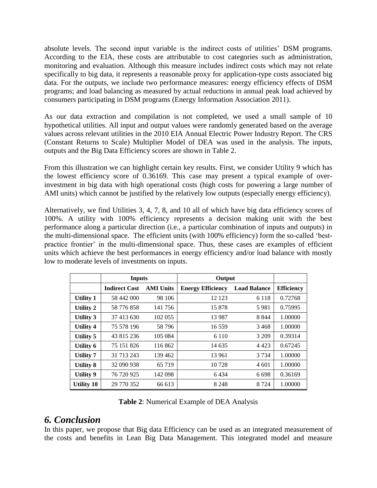absolute levels. The second input variable is the indirect costs of utilities' DSM programs. According to the EIA, these costs are attributable to cost categories such as administration, monitoring and evaluation. Although this measure includes indirect costs which may not relate specifically to big data, it represents a reasonable proxy for application-type costs associated big data. For the outputs, we include two performance measures: energy efficiency effects of DSM programs; and load balancing as measured by actual reductions in annual peak load achieved by consumers participating in DSM programs [\(Energy Information Association 2011\)](#page-6-10).

As our data extraction and compilation is not completed, we used a small sample of 10 hypothetical utilities. All input and output values were randomly generated based on the average values across relevant utilities in the 2010 EIA Annual Electric Power Industry Report. The CRS (Constant Returns to Scale) Multiplier Model of DEA was used in the analysis. The inputs, outputs and the Big Data Efficiency scores are shown in Table 2.

From this illustration we can highlight certain key results. First, we consider Utility 9 which has the lowest efficiency score of 0.36169. This case may present a typical example of overinvestment in big data with high operational costs (high costs for powering a large number of AMI units) which cannot be justified by the relatively low outputs (especially energy efficiency).

Alternatively, we find Utilities 3, 4, 7, 8, and 10 all of which have big data efficiency scores of 100%. A utility with 100% efficiency represents a decision making unit with the best performance along a particular direction (i.e., a particular combination of inputs and outputs) in the multi-dimensional space. The efficient units (with 100% efficiency) form the so-called 'bestpractice frontier' in the multi-dimensional space. Thus, these cases are examples of efficient units which achieve the best performances in energy efficiency and/or load balance with mostly low to moderate levels of investments on inputs.

|                  | <b>Inputs</b>        |                  | Output                   |                     |                   |
|------------------|----------------------|------------------|--------------------------|---------------------|-------------------|
|                  | <b>Indirect Cost</b> | <b>AMI Units</b> | <b>Energy Efficiency</b> | <b>Load Balance</b> | <b>Efficiency</b> |
| <b>Utility 1</b> | 58 442 000           | 98 106           | 12 123                   | 6 1 1 8             | 0.72768           |
| Utility 2        | 58 776 858           | 141 756          | 15 878                   | 5981                | 0.75995           |
| <b>Utility 3</b> | 37 413 630           | 102 055          | 13 9 8 7                 | 8 8 4 4             | 1.00000           |
| <b>Utility 4</b> | 75 578 196           | 58 796           | 16 559                   | 3468                | 1.00000           |
| Utility 5        | 43 815 236           | 105 084          | 6 1 1 0                  | 3 2 0 9             | 0.39314           |
| Utility 6        | 75 151 826           | 116862           | 14 635                   | 4 4 2 3             | 0.67245           |
| <b>Utility 7</b> | 31 713 243           | 139 462          | 13 961                   | 3 7 3 4             | 1.00000           |
| Utility 8        | 32 090 938           | 65 7 19          | 10 728                   | 4 601               | 1.00000           |
| Utility 9        | 76 720 925           | 142 098          | 6434                     | 6 6 9 8             | 0.36169           |
| Utility 10       | 29 770 352           | 66 613           | 8 2 4 8                  | 8 7 2 4             | 1.00000           |

**Table 2**: Numerical Example of DEA Analysis

### *6. Conclusion*

In this paper, we propose that Big data Efficiency can be used as an integrated measurement of the costs and benefits in Lean Big Data Management. This integrated model and measure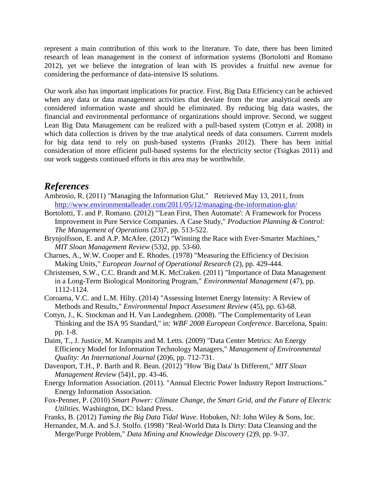represent a main contribution of this work to the literature. To date, there has been limited research of lean management in the context of information systems [\(Bortolotti and Romano](#page-6-11)  [2012\)](#page-6-11), yet we believe the integration of lean with IS provides a fruitful new avenue for considering the performance of data-intensive IS solutions.

Our work also has important implications for practice. First, Big Data Efficiency can be achieved when any data or data management activities that deviate from the true analytical needs are considered information waste and should be eliminated. By reducing big data wastes, the financial and environmental performance of organizations should improve. Second, we suggest Lean Big Data Management can be realized with a pull-based system [\(Cottyn et al. 2008\)](#page-6-4) in which data collection is driven by the true analytical needs of data consumers. Current models for big data tend to rely on push-based systems [\(Franks 2012\)](#page-6-12). There has been initial consideration of more efficient pull-based systems for the electricity sector [\(Tsigkas 2011\)](#page-7-12) and our work suggests continued efforts in this area may be worthwhile.

#### *References*

- <span id="page-6-3"></span>Ambrosio, R. (2011) "Managing the Information Glut." Retrieved May 13, 2011, from <http://www.environmentalleader.com/2011/05/12/managing-the-information-glut/>
- <span id="page-6-11"></span>Bortolotti, T. and P. Romano. (2012) "'Lean First, Then Automate': A Framework for Process Improvement in Pure Service Companies. A Case Study," *Production Planning & Control: The Management of Operations* (23)7, pp. 513-522.
- <span id="page-6-2"></span>Brynjolfsson, E. and A.P. McAfee. (2012) "Winning the Race with Ever-Smarter Machines," *MIT Sloan Management Review* (53)2, pp. 53-60.
- <span id="page-6-9"></span>Charnes, A., W.W. Cooper and E. Rhodes. (1978) "Measuring the Efficiency of Decision Making Units," *European Journal of Operational Research* (2), pp. 429-444.
- <span id="page-6-6"></span>Christensen, S.W., C.C. Brandt and M.K. McCraken. (2011) "Importance of Data Management in a Long-Term Biological Monitoring Program," *Environmental Management* (47), pp. 1112-1124.
- <span id="page-6-7"></span>Coroama, V.C. and L.M. Hilty. (2014) "Assessing Internet Energy Intensity: A Review of Methods and Results," *Environmental Impact Assessment Review* (45), pp. 63-68.
- <span id="page-6-4"></span>Cottyn, J., K. Stockman and H. Van Landegnhem. (2008). "The Complementarity of Lean Thinking and the ISA 95 Standard," in: *WBF 2008 European Conference*. Barcelona, Spain: pp. 1-8.
- <span id="page-6-1"></span>Daim, T., J. Justice, M. Krampits and M. Letts. (2009) "Data Center Metrics: An Energy Efficiency Model for Information Technology Managers," *Management of Environmental Quality: An International Journal* (20)6, pp. 712-731.
- <span id="page-6-0"></span>Davenport, T.H., P. Barth and R. Bean. (2012) "How 'Big Data' Is Different," *MIT Sloan Management Review* (54)1, pp. 43-46.
- <span id="page-6-10"></span>Energy Information Association. (2011). "Annual Electric Power Industry Report Instructions." Energy Information Association.
- <span id="page-6-8"></span>Fox-Penner, P. (2010) *Smart Power: Climate Change, the Smart Grid, and the Future of Electric Utilities*. Washington, DC: Island Press.
- <span id="page-6-12"></span>Franks, B. (2012) *Taming the Big Data Tidal Wave*. Hoboken, NJ: John Wiley & Sons, Inc.
- <span id="page-6-5"></span>Hernandez, M.A. and S.J. Stolfo. (1998) "Real-World Data Is Dirty: Data Cleansing and the Merge/Purge Problem," *Data Mining and Knowledge Discovery* (2)9, pp. 9-37.